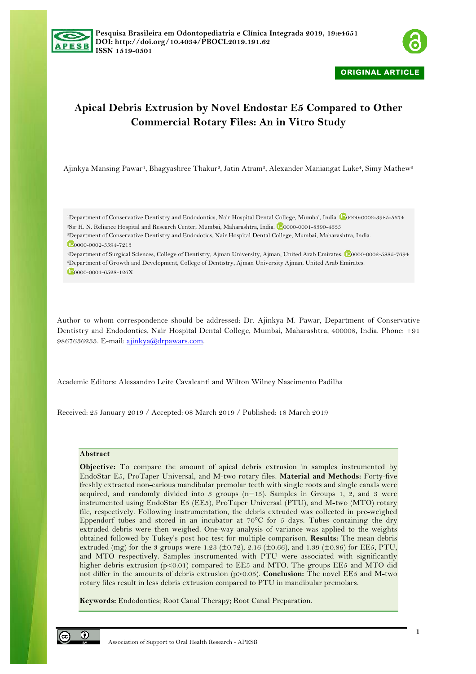



# **Apical Debris Extrusion by Novel Endostar E5 Compared to Other Commercial Rotary Files: An in Vitro Study**

Ajinkya Mansing Pawar<sup>1</sup>, Bhagyashree Thakur<sup>2</sup>, Jatin Atram<sup>3</sup>, Alexander Maniangat Luke<sup>4</sup>, Simy Mathew<sup>5</sup>

<sup>1</sup>Department of Conservative Dentistry and Endodontics, Nair Hospital Dental College, Mumbai, India. <sup>10</sup>0000-0003-3985-5674 <sup>2</sup>Sir H. N. Reliance Hospital and Research Center, Mumbai, Maharashtra, India. <sup>12</sup>0000-0001-8390-4635 <sup>3</sup>Department of Conservative Dentistry and Endodotics, Nair Hospital Dental College, Mumbai, Maharashtra, India.

 $\n **100000-0002-5594-7213**$ 

<sup>4</sup>Department of Surgical Sciences, College of Dentistry, Ajman University, Ajman, United Arab Emirates. 0000-0002-5885-7694 <sup>5</sup>Department of Growth and Development, College of Dentistry, Ajman University Ajman, United Arab Emirates.

0000-0001-6528-126X

Author to whom correspondence should be addressed: Dr. Ajinkya M. Pawar, Department of Conservative Dentistry and Endodontics, Nair Hospital Dental College, Mumbai, Maharashtra, 400008, India. Phone: +91 9867636233. E-mail: ajinkya@drpawars.com.

Academic Editors: Alessandro Leite Cavalcanti and Wilton Wilney Nascimento Padilha

Received: 25 January 2019 / Accepted: 08 March 2019 / Published: 18 March 2019

## **Abstract**

**Objective:** To compare the amount of apical debris extrusion in samples instrumented by EndoStar E5, ProTaper Universal, and M-two rotary files. **Material and Methods:** Forty-five freshly extracted non-carious mandibular premolar teeth with single roots and single canals were acquired, and randomly divided into  $3$  groups  $(n=15)$ . Samples in Groups 1, 2, and 3 were instrumented using EndoStar E5 (EE5), ProTaper Universal (PTU), and M-two (MTO) rotary file, respectively. Following instrumentation, the debris extruded was collected in pre-weighed Eppendorf tubes and stored in an incubator at 70°C for 5 days. Tubes containing the dry extruded debris were then weighed. One-way analysis of variance was applied to the weights obtained followed by Tukey's post hoc test for multiple comparison. **Results:** The mean debris extruded (mg) for the 3 groups were 1.23 ( $\pm$ 0.72), 2.16 ( $\pm$ 0.66), and 1.39 ( $\pm$ 0.86) for EE5, PTU, and MTO respectively. Samples instrumented with PTU were associated with significantly higher debris extrusion (p<0.01) compared to EE5 and MTO. The groups EE5 and MTO did not differ in the amounts of debris extrusion (p>0.05). **Conclusion:** The novel EE5 and M-two rotary files result in less debris extrusion compared to PTU in mandibular premolars.

**Keywords:** Endodontics; Root Canal Therapy; Root Canal Preparation.

৩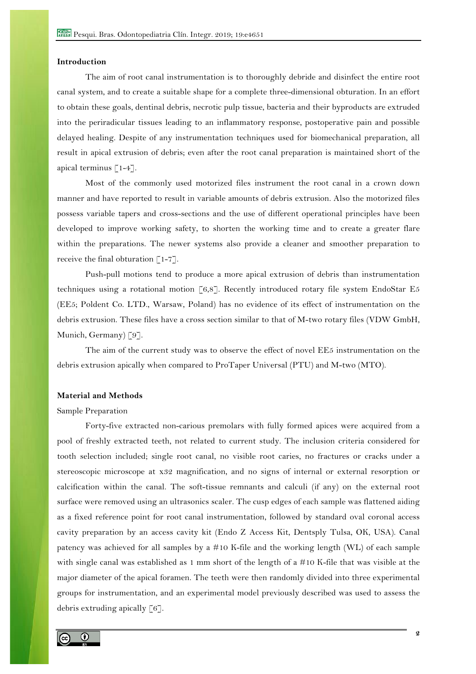# **Introduction**

The aim of root canal instrumentation is to thoroughly debride and disinfect the entire root canal system, and to create a suitable shape for a complete three-dimensional obturation. In an effort to obtain these goals, dentinal debris, necrotic pulp tissue, bacteria and their byproducts are extruded into the periradicular tissues leading to an inflammatory response, postoperative pain and possible delayed healing. Despite of any instrumentation techniques used for biomechanical preparation, all result in apical extrusion of debris; even after the root canal preparation is maintained short of the apical terminus [1-4].

Most of the commonly used motorized files instrument the root canal in a crown down manner and have reported to result in variable amounts of debris extrusion. Also the motorized files possess variable tapers and cross-sections and the use of different operational principles have been developed to improve working safety, to shorten the working time and to create a greater flare within the preparations. The newer systems also provide a cleaner and smoother preparation to receive the final obturation  $\lceil 1-7 \rceil$ .

Push-pull motions tend to produce a more apical extrusion of debris than instrumentation techniques using a rotational motion [6,8]. Recently introduced rotary file system EndoStar E5 (EE5; Poldent Co. LTD., Warsaw, Poland) has no evidence of its effect of instrumentation on the debris extrusion. These files have a cross section similar to that of M-two rotary files (VDW GmbH, Munich, Germany) [9].

The aim of the current study was to observe the effect of novel EE5 instrumentation on the debris extrusion apically when compared to ProTaper Universal (PTU) and M-two (MTO).

## **Material and Methods**

#### Sample Preparation

Forty-five extracted non-carious premolars with fully formed apices were acquired from a pool of freshly extracted teeth, not related to current study. The inclusion criteria considered for tooth selection included; single root canal, no visible root caries, no fractures or cracks under a stereoscopic microscope at x32 magnification, and no signs of internal or external resorption or calcification within the canal. The soft-tissue remnants and calculi (if any) on the external root surface were removed using an ultrasonics scaler. The cusp edges of each sample was flattened aiding as a fixed reference point for root canal instrumentation, followed by standard oval coronal access cavity preparation by an access cavity kit (Endo Z Access Kit, Dentsply Tulsa, OK, USA). Canal patency was achieved for all samples by a #10 K-file and the working length (WL) of each sample with single canal was established as 1 mm short of the length of a #10 K-file that was visible at the major diameter of the apical foramen. The teeth were then randomly divided into three experimental groups for instrumentation, and an experimental model previously described was used to assess the debris extruding apically [6].

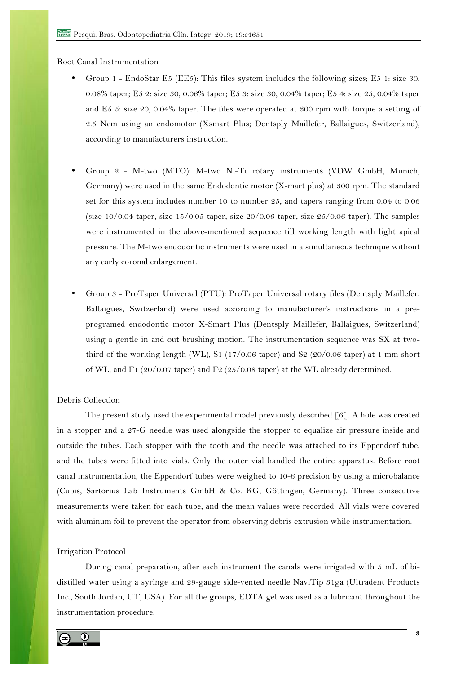Root Canal Instrumentation

- Group 1 EndoStar E5 (EE5): This files system includes the following sizes; E5 1: size 30, 0.08% taper; E5 2: size 30, 0.06% taper; E5 3: size 30, 0.04% taper; E5 4: size 25, 0.04% taper and E5 5: size 20, 0.04% taper. The files were operated at 300 rpm with torque a setting of 2.5 Ncm using an endomotor (Xsmart Plus; Dentsply Maillefer, Ballaigues, Switzerland), according to manufacturers instruction.
- Group 2 M-two (MTO): M-two Ni-Ti rotary instruments (VDW GmbH, Munich, Germany) were used in the same Endodontic motor (X-mart plus) at 300 rpm. The standard set for this system includes number 10 to number 25, and tapers ranging from 0.04 to 0.06 (size  $10/0.04$  taper, size  $15/0.05$  taper, size  $20/0.06$  taper, size  $25/0.06$  taper). The samples were instrumented in the above-mentioned sequence till working length with light apical pressure. The M-two endodontic instruments were used in a simultaneous technique without any early coronal enlargement.
- Group 3 ProTaper Universal (PTU): ProTaper Universal rotary files (Dentsply Maillefer, Ballaigues, Switzerland) were used according to manufacturer's instructions in a preprogramed endodontic motor X-Smart Plus (Dentsply Maillefer, Ballaigues, Switzerland) using a gentle in and out brushing motion. The instrumentation sequence was SX at twothird of the working length (WL), S1 (17/0.06 taper) and S2 (20/0.06 taper) at 1 mm short of WL, and F1 (20/0.07 taper) and F2 (25/0.08 taper) at the WL already determined.

# Debris Collection

The present study used the experimental model previously described [6]. A hole was created in a stopper and a 27-G needle was used alongside the stopper to equalize air pressure inside and outside the tubes. Each stopper with the tooth and the needle was attached to its Eppendorf tube, and the tubes were fitted into vials. Only the outer vial handled the entire apparatus. Before root canal instrumentation, the Eppendorf tubes were weighed to 10-6 precision by using a microbalance (Cubis, Sartorius Lab Instruments GmbH & Co. KG, Göttingen, Germany). Three consecutive measurements were taken for each tube, and the mean values were recorded. All vials were covered with aluminum foil to prevent the operator from observing debris extrusion while instrumentation.

#### Irrigation Protocol

During canal preparation, after each instrument the canals were irrigated with 5 mL of bidistilled water using a syringe and 29-gauge side-vented needle NaviTip 31ga (Ultradent Products Inc., South Jordan, UT, USA). For all the groups, EDTA gel was used as a lubricant throughout the instrumentation procedure.

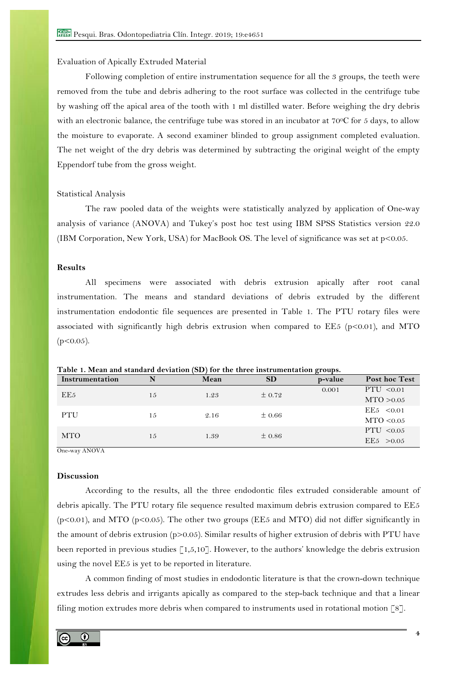#### Evaluation of Apically Extruded Material

Following completion of entire instrumentation sequence for all the 3 groups, the teeth were removed from the tube and debris adhering to the root surface was collected in the centrifuge tube by washing off the apical area of the tooth with 1 ml distilled water. Before weighing the dry debris with an electronic balance, the centrifuge tube was stored in an incubator at 70°C for 5 days, to allow the moisture to evaporate. A second examiner blinded to group assignment completed evaluation. The net weight of the dry debris was determined by subtracting the original weight of the empty Eppendorf tube from the gross weight.

#### Statistical Analysis

The raw pooled data of the weights were statistically analyzed by application of One-way analysis of variance (ANOVA) and Tukey's post hoc test using IBM SPSS Statistics version 22.0 (IBM Corporation, New York, USA) for MacBook OS. The level of significance was set at p<0.05.

# **Results**

All specimens were associated with debris extrusion apically after root canal instrumentation. The means and standard deviations of debris extruded by the different instrumentation endodontic file sequences are presented in Table 1. The PTU rotary files were associated with significantly high debris extrusion when compared to  $EE5$  (p<0.01), and MTO  $(p<0.05)$ .

| Instrumentation | N  | Mean | SD         | p-value | Post hoc Test |
|-----------------|----|------|------------|---------|---------------|
| EE <sub>5</sub> | 15 | 1.23 | $\pm$ 0.72 | 0.001   | PTU < 0.01    |
|                 |    |      |            |         | MTO > 0.05    |
| PTU             | 15 | 2.16 | $\pm 0.66$ |         | EE5 < 0.01    |
|                 |    |      |            |         | MTO < 0.05    |
| <b>MTO</b>      | 15 | 1.39 | $\pm 0.86$ |         | PTU $< 0.05$  |
|                 |    |      |            |         | EE5 > 0.05    |

**Table 1. Mean and standard deviation (SD) for the three instrumentation groups.**

One-way ANOVA

# **Discussion**

According to the results, all the three endodontic files extruded considerable amount of debris apically. The PTU rotary file sequence resulted maximum debris extrusion compared to EE5 (p<0.01), and MTO (p<0.05). The other two groups (EE5 and MTO) did not differ significantly in the amount of debris extrusion (p>0.05). Similar results of higher extrusion of debris with PTU have been reported in previous studies [1,5,10]. However, to the authors' knowledge the debris extrusion using the novel EE5 is yet to be reported in literature.

A common finding of most studies in endodontic literature is that the crown-down technique extrudes less debris and irrigants apically as compared to the step-back technique and that a linear filing motion extrudes more debris when compared to instruments used in rotational motion [8].

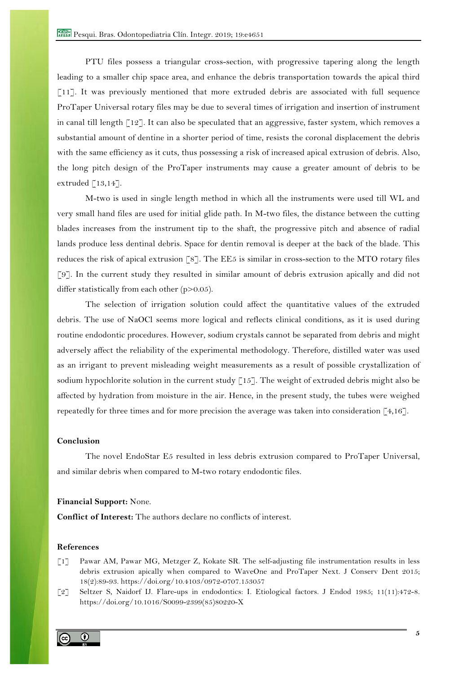PTU files possess a triangular cross-section, with progressive tapering along the length leading to a smaller chip space area, and enhance the debris transportation towards the apical third  $\lceil 11 \rceil$ . It was previously mentioned that more extruded debris are associated with full sequence ProTaper Universal rotary files may be due to several times of irrigation and insertion of instrument in canal till length [12]. It can also be speculated that an aggressive, faster system, which removes a substantial amount of dentine in a shorter period of time, resists the coronal displacement the debris with the same efficiency as it cuts, thus possessing a risk of increased apical extrusion of debris. Also, the long pitch design of the ProTaper instruments may cause a greater amount of debris to be extruded  $[13,14]$ .

M-two is used in single length method in which all the instruments were used till WL and very small hand files are used for initial glide path. In M-two files, the distance between the cutting blades increases from the instrument tip to the shaft, the progressive pitch and absence of radial lands produce less dentinal debris. Space for dentin removal is deeper at the back of the blade. This reduces the risk of apical extrusion [8]. The EE5 is similar in cross-section to the MTO rotary files [9]. In the current study they resulted in similar amount of debris extrusion apically and did not differ statistically from each other (p>0.05).

The selection of irrigation solution could affect the quantitative values of the extruded debris. The use of NaOCl seems more logical and reflects clinical conditions, as it is used during routine endodontic procedures. However, sodium crystals cannot be separated from debris and might adversely affect the reliability of the experimental methodology. Therefore, distilled water was used as an irrigant to prevent misleading weight measurements as a result of possible crystallization of sodium hypochlorite solution in the current study [15]. The weight of extruded debris might also be affected by hydration from moisture in the air. Hence, in the present study, the tubes were weighed repeatedly for three times and for more precision the average was taken into consideration  $\lceil 4, 16 \rceil$ .

# **Conclusion**

The novel EndoStar E5 resulted in less debris extrusion compared to ProTaper Universal, and similar debris when compared to M-two rotary endodontic files.

#### **Financial Support:** None.

**Conflict of Interest:** The authors declare no conflicts of interest.

# **References**

[1] Pawar AM, Pawar MG, Metzger Z, Kokate SR. The self-adjusting file instrumentation results in less debris extrusion apically when compared to WaveOne and ProTaper Next. J Conserv Dent 2015; 18(2):89-93. https://doi.org/10.4103/0972-0707.153057

[2] Seltzer S, Naidorf IJ. Flare-ups in endodontics: I. Etiological factors. J Endod 1985; 11(11):472-8. https://doi.org/10.1016/S0099-2399(85)80220-X